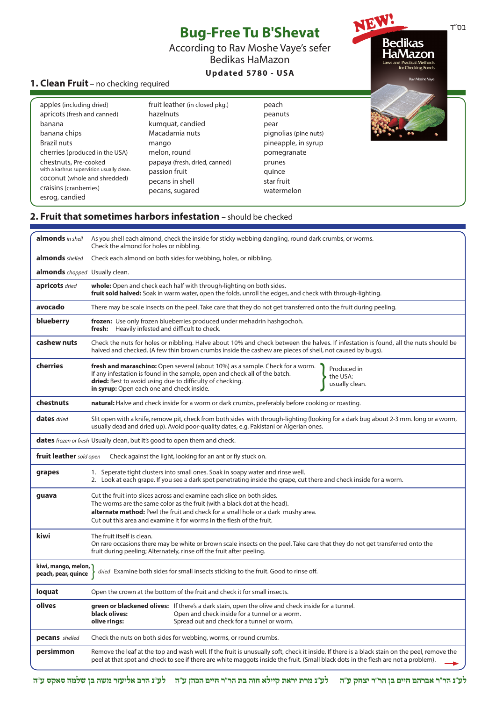| <b>1. Clean Fruit</b> - no checking required                                                                                                                                                                                                                                                |                                                                                                                                                                                                    | <b>Bug-Free Tu B'Shevat</b><br>According to Rav Moshe Vaye's sefer<br><b>Bedikas HaMazon</b><br>Updated 5780 - USA                      | <b>Bedikas</b><br>HaMazon<br>Laws and Practical Methods<br>for Checking Foods<br>Rav Moshe Vaye | בס"ד |
|---------------------------------------------------------------------------------------------------------------------------------------------------------------------------------------------------------------------------------------------------------------------------------------------|----------------------------------------------------------------------------------------------------------------------------------------------------------------------------------------------------|-----------------------------------------------------------------------------------------------------------------------------------------|-------------------------------------------------------------------------------------------------|------|
| apples (including dried)<br>apricots (fresh and canned)<br>banana<br>banana chips<br><b>Brazil nuts</b><br>cherries (produced in the USA)<br>chestnuts, Pre-cooked<br>with a kashrus supervision usually clean.<br>coconut (whole and shredded)<br>craisins (cranberries)<br>esrog, candied | fruit leather (in closed pkg.)<br>hazelnuts<br>kumquat, candied<br>Macadamia nuts<br>mango<br>melon, round<br>papaya (fresh, dried, canned)<br>passion fruit<br>pecans in shell<br>pecans, sugared | peach<br>peanuts<br>pear<br>pignolias (pine nuts)<br>pineapple, in syrup<br>pomegranate<br>prunes<br>quince<br>star fruit<br>watermelon |                                                                                                 |      |

## **2. Fruit that sometimes harbors infestation** – should be checked

| almonds in shell                                                                                                                   | As you shell each almond, check the inside for sticky webbing dangling, round dark crumbs, or worms.<br>Check the almond for holes or nibbling.                                                                                                                                                                            |  |
|------------------------------------------------------------------------------------------------------------------------------------|----------------------------------------------------------------------------------------------------------------------------------------------------------------------------------------------------------------------------------------------------------------------------------------------------------------------------|--|
| almonds shelled                                                                                                                    | Check each almond on both sides for webbing, holes, or nibbling.                                                                                                                                                                                                                                                           |  |
| <b>almonds</b> chopped Usually clean.                                                                                              |                                                                                                                                                                                                                                                                                                                            |  |
| apricots dried                                                                                                                     | whole: Open and check each half with through-lighting on both sides.<br>fruit sold halved: Soak in warm water, open the folds, unroll the edges, and check with through-lighting.                                                                                                                                          |  |
| avocado                                                                                                                            | There may be scale insects on the peel. Take care that they do not get transferred onto the fruit during peeling.                                                                                                                                                                                                          |  |
| blueberry                                                                                                                          | frozen: Use only frozen blueberries produced under mehadrin hashgochoh.<br>fresh: Heavily infested and difficult to check.                                                                                                                                                                                                 |  |
| cashew nuts                                                                                                                        | Check the nuts for holes or nibbling. Halve about 10% and check between the halves. If infestation is found, all the nuts should be<br>halved and checked. (A few thin brown crumbs inside the cashew are pieces of shell, not caused by bugs).                                                                            |  |
| cherries                                                                                                                           | <b>fresh and maraschino:</b> Open several (about 10%) as a sample. Check for a worm.<br>Produced in<br>If any infestation is found in the sample, open and check all of the batch.<br>the USA:<br>dried: Best to avoid using due to difficulty of checking.<br>usually clean.<br>in syrup: Open each one and check inside. |  |
| chestnuts                                                                                                                          | natural: Halve and check inside for a worm or dark crumbs, preferably before cooking or roasting.                                                                                                                                                                                                                          |  |
| <b>dates</b> dried                                                                                                                 | Slit open with a knife, remove pit, check from both sides with through-lighting (looking for a dark bug about 2-3 mm. long or a worm,<br>usually dead and dried up). Avoid poor-quality dates, e.g. Pakistani or Algerian ones.                                                                                            |  |
|                                                                                                                                    | <b>dates</b> frozen or fresh Usually clean, but it's good to open them and check.                                                                                                                                                                                                                                          |  |
| fruit leather sold open                                                                                                            | Check against the light, looking for an ant or fly stuck on.                                                                                                                                                                                                                                                               |  |
| grapes                                                                                                                             | 1. Seperate tight clusters into small ones. Soak in soapy water and rinse well.<br>2. Look at each grape. If you see a dark spot penetrating inside the grape, cut there and check inside for a worm.                                                                                                                      |  |
| guava                                                                                                                              | Cut the fruit into slices across and examine each slice on both sides.<br>The worms are the same color as the fruit (with a black dot at the head).<br>alternate method: Peel the fruit and check for a small hole or a dark mushy area.<br>Cut out this area and examine it for worms in the flesh of the fruit.          |  |
| kiwi                                                                                                                               | The fruit itself is clean.<br>On rare occasions there may be white or brown scale insects on the peel. Take care that they do not get transferred onto the<br>fruit during peeling; Alternately, rinse off the fruit after peeling.                                                                                        |  |
| kiwi, mango, melon,<br>dried Examine both sides for small insects sticking to the fruit. Good to rinse off.<br>peach, pear, quince |                                                                                                                                                                                                                                                                                                                            |  |
| loquat                                                                                                                             | Open the crown at the bottom of the fruit and check it for small insects.                                                                                                                                                                                                                                                  |  |
| olives                                                                                                                             | green or blackened olives: If there's a dark stain, open the olive and check inside for a tunnel.<br>black olives:<br>Open and check inside for a tunnel or a worm.<br>olive rings:<br>Spread out and check for a tunnel or worm.                                                                                          |  |
| pecans shelled                                                                                                                     | Check the nuts on both sides for webbing, worms, or round crumbs.                                                                                                                                                                                                                                                          |  |
| persimmon                                                                                                                          | Remove the leaf at the top and wash well. If the fruit is unusually soft, check it inside. If there is a black stain on the peel, remove the<br>peel at that spot and check to see if there are white maggots inside the fruit. (Small black dots in the flesh are not a problem).                                         |  |